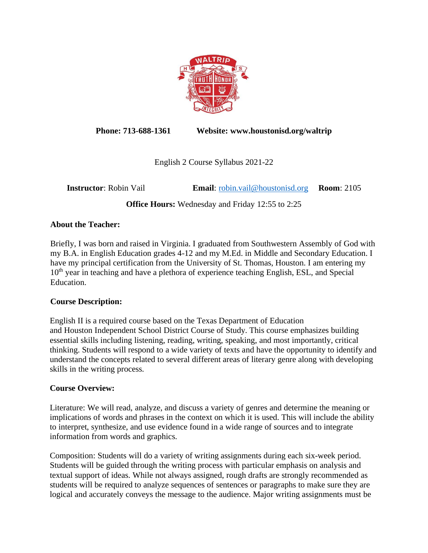

**Phone: 713-688-1361 Website: www.houstonisd.org/waltrip**

English 2 Course Syllabus 2021-22

**Instructor**: Robin Vail **Email**: [robin.vail@houstonisd.org](mailto:robin.vail@houstonisd.org) **Room**: 2105

**Office Hours:** Wednesday and Friday 12:55 to 2:25

# **About the Teacher:**

Briefly, I was born and raised in Virginia. I graduated from Southwestern Assembly of God with my B.A. in English Education grades 4-12 and my M.Ed. in Middle and Secondary Education. I have my principal certification from the University of St. Thomas, Houston. I am entering my 10<sup>th</sup> year in teaching and have a plethora of experience teaching English, ESL, and Special Education.

## **Course Description:**

English II is a required course based on the Texas Department of Education and Houston Independent School District Course of Study. This course emphasizes building essential skills including listening, reading, writing, speaking, and most importantly, critical thinking. Students will respond to a wide variety of texts and have the opportunity to identify and understand the concepts related to several different areas of literary genre along with developing skills in the writing process.

## **Course Overview:**

Literature: We will read, analyze, and discuss a variety of genres and determine the meaning or implications of words and phrases in the context on which it is used. This will include the ability to interpret, synthesize, and use evidence found in a wide range of sources and to integrate information from words and graphics.

Composition: Students will do a variety of writing assignments during each six-week period. Students will be guided through the writing process with particular emphasis on analysis and textual support of ideas. While not always assigned, rough drafts are strongly recommended as students will be required to analyze sequences of sentences or paragraphs to make sure they are logical and accurately conveys the message to the audience. Major writing assignments must be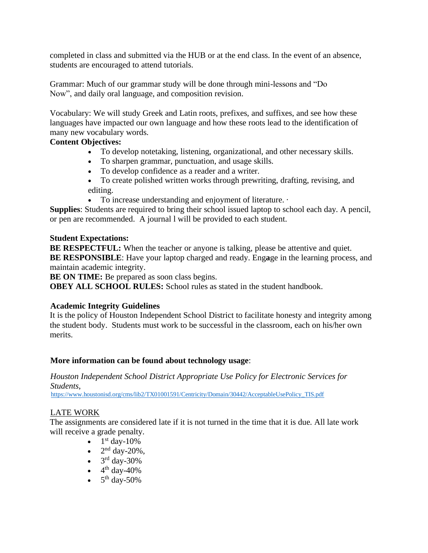completed in class and submitted via the HUB or at the end class. In the event of an absence, students are encouraged to attend tutorials.

Grammar: Much of our grammar study will be done through mini-lessons and "Do Now", and daily oral language, and composition revision.

Vocabulary: We will study Greek and Latin roots, prefixes, and suffixes, and see how these languages have impacted our own language and how these roots lead to the identification of many new vocabulary words.

### **Content Objectives:**

- To develop notetaking, listening, organizational, and other necessary skills.
- To sharpen grammar, punctuation, and usage skills.
- To develop confidence as a reader and a writer.
- To create polished written works through prewriting, drafting, revising, and editing.
- To increase understanding and enjoyment of literature. ·

**Supplies**: Students are required to bring their school issued laptop to school each day. A pencil, or pen are recommended. A journal l will be provided to each student.

#### **Student Expectations:**

**BE RESPECTFUL:** When the teacher or anyone is talking, please be attentive and quiet. **BE RESPONSIBLE**: Have your laptop charged and ready. Eng**a**ge in the learning process, and maintain academic integrity.

**BE ON TIME:** Be prepared as soon class begins.

**OBEY ALL SCHOOL RULES:** School rules as stated in the student handbook.

#### **Academic Integrity Guidelines**

It is the policy of Houston Independent School District to facilitate honesty and integrity among the student body. Students must work to be successful in the classroom, each on his/her own merits.

#### **More information can be found about technology usage**:

*Houston Independent School District Appropriate Use Policy for Electronic Services for Students*,

[https://www.houstonisd.org/cms/lib2/TX01001591/Centricity/Domain/30442/AcceptableUsePolicy\\_TIS.pdf](https://www.houstonisd.org/cms/lib2/TX01001591/Centricity/Domain/30442/AcceptableUsePolicy_TIS.pdf)

### LATE WORK

The assignments are considered late if it is not turned in the time that it is due. All late work will receive a grade penalty.

- $1<sup>st</sup>$  day-10%
- $\bullet$  2<sup>nd</sup> day-20%,
- $\bullet$  3<sup>rd</sup> day-30%
- $\bullet$  4<sup>th</sup> day-40%
- $\bullet$  5<sup>th</sup> day-50%